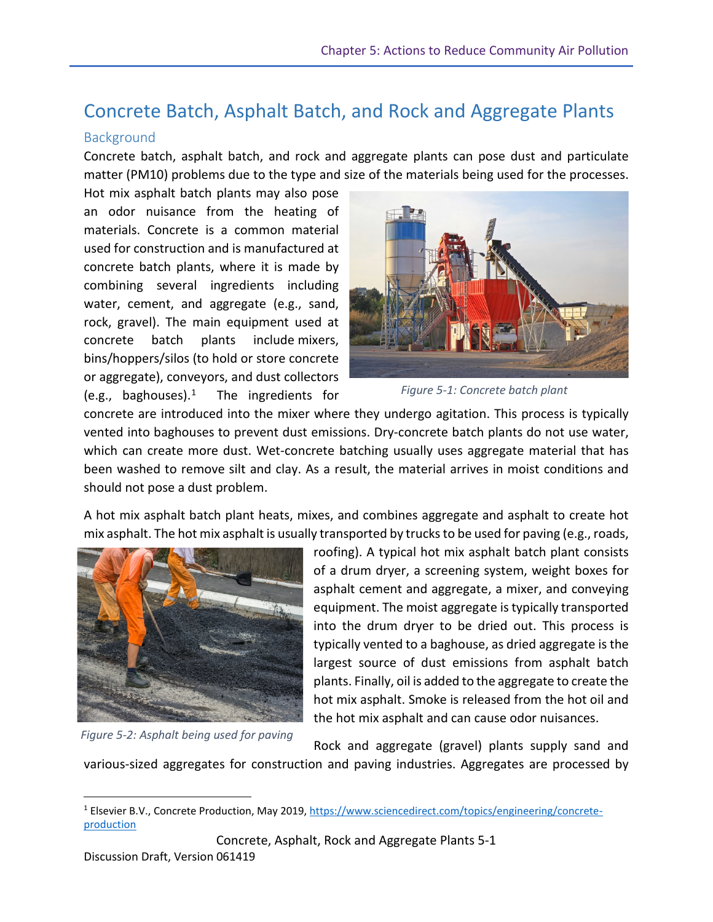# Concrete Batch, Asphalt Batch, and Rock and Aggregate Plants

### Background

Concrete batch, asphalt batch, and rock and aggregate plants can pose dust and particulate matter (PM10) problems due to the type and size of the materials being used for the processes.

Hot mix asphalt batch plants may also pose an odor nuisance from the heating of materials. Concrete is a common material used for construction and is manufactured at concrete batch plants, where it is made by combining several ingredients including water, cement, and aggregate (e.g., sand, rock, gravel). The main equipment used at concrete batch plants include mixers, bins/hoppers/silos (to hold or store concrete or aggregate), conveyors, and dust collectors (e.g., baghouses). $<sup>1</sup>$ </sup> [1](#page-0-0) The ingredients for



*Figure 5-1: Concrete batch plant*

concrete are introduced into the mixer where they undergo agitation. This process is typically vented into baghouses to prevent dust emissions. Dry-concrete batch plants do not use water, which can create more dust. Wet-concrete batching usually uses aggregate material that has been washed to remove silt and clay. As a result, the material arrives in moist conditions and should not pose a dust problem.

A hot mix asphalt batch plant heats, mixes, and combines aggregate and asphalt to create hot mix asphalt. The hot mix asphalt is usually transported by trucks to be used for paving (e.g., roads,



*Figure 5-2: Asphalt being used for paving*

roofing). A typical hot mix asphalt batch plant consists of a drum dryer, a screening system, weight boxes for asphalt cement and aggregate, a mixer, and conveying equipment. The moist aggregate is typically transported into the drum dryer to be dried out. This process is typically vented to a baghouse, as dried aggregate is the largest source of dust emissions from asphalt batch plants. Finally, oil is added to the aggregate to create the hot mix asphalt. Smoke is released from the hot oil and the hot mix asphalt and can cause odor nuisances.

Rock and aggregate (gravel) plants supply sand and

various-sized aggregates for construction and paving industries. Aggregates are processed by

Concrete, Asphalt, Rock and Aggregate Plants 5-1

 $\overline{a}$ 

<span id="page-0-0"></span><sup>&</sup>lt;sup>1</sup> Elsevier B.V., Concrete Production, May 2019, [https://www.sciencedirect.com/topics/engineering/concrete](https://www.sciencedirect.com/topics/engineering/concrete-production)[production](https://www.sciencedirect.com/topics/engineering/concrete-production)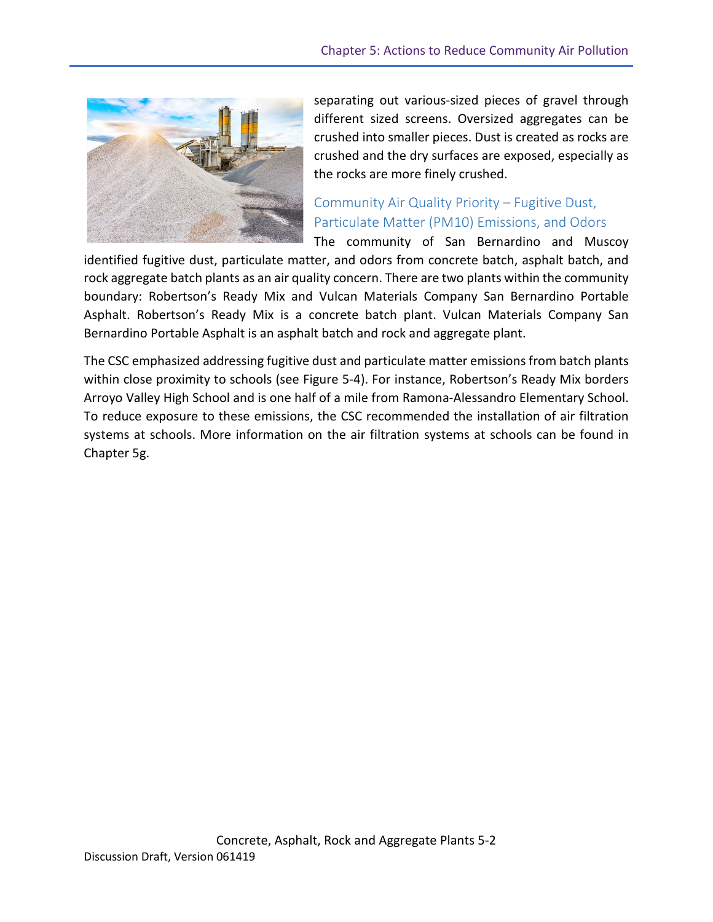

separating out various-sized pieces of gravel through different sized screens. Oversized aggregates can be crushed into smaller pieces. Dust is created as rocks are crushed and the dry surfaces are exposed, especially as the rocks are more finely crushed.

## Community Air Quality Priority – Fugitive Dust, Particulate Matter (PM10) Emissions, and Odors

The community of San Bernardino and Muscoy

identified fugitive dust, particulate matter, and odors from concrete batch, asphalt batch, and rock aggregate batch plants as an air quality concern. There are two plants within the community boundary: Robertson's Ready Mix and Vulcan Materials Company San Bernardino Portable Asphalt. Robertson's Ready Mix is a concrete batch plant. Vulcan Materials Company San Bernardino Portable Asphalt is an asphalt batch and rock and aggregate plant.

The CSC emphasized addressing fugitive dust and particulate matter emissions from batch plants within close proximity to schools (see Figure 5-4). For instance, Robertson's Ready Mix borders Arroyo Valley High School and is one half of a mile from Ramona-Alessandro Elementary School. To reduce exposure to these emissions, the CSC recommended the installation of air filtration systems at schools. More information on the air filtration systems at schools can be found in Chapter 5g.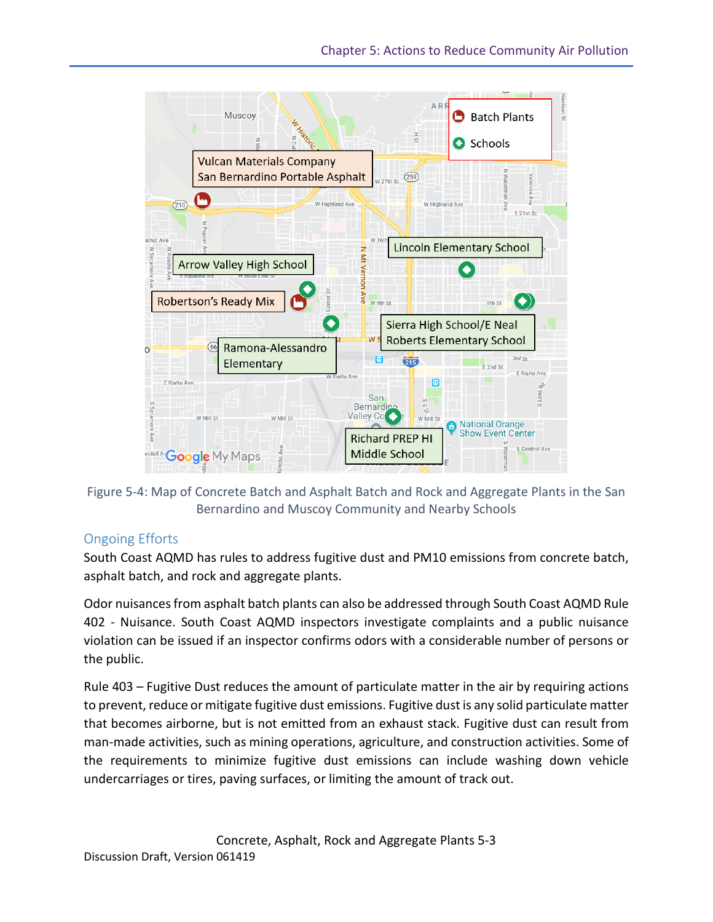

Figure 5-4: Map of Concrete Batch and Asphalt Batch and Rock and Aggregate Plants in the San Bernardino and Muscoy Community and Nearby Schools

### Ongoing Efforts

South Coast AQMD has rules to address fugitive dust and PM10 emissions from concrete batch, asphalt batch, and rock and aggregate plants.

Odor nuisances from asphalt batch plants can also be addressed through South Coast AQMD Rule 402 - Nuisance. South Coast AQMD inspectors investigate complaints and a public nuisance violation can be issued if an inspector confirms odors with a considerable number of persons or the public.

Rule 403 – Fugitive Dust reduces the amount of particulate matter in the air by requiring actions to prevent, reduce or mitigate fugitive dust emissions. Fugitive dust is any solid particulate matter that becomes airborne, but is not emitted from an exhaust stack. Fugitive dust can result from man-made activities, such as mining operations, agriculture, and construction activities. Some of the requirements to minimize fugitive dust emissions can include washing down vehicle undercarriages or tires, paving surfaces, or limiting the amount of track out.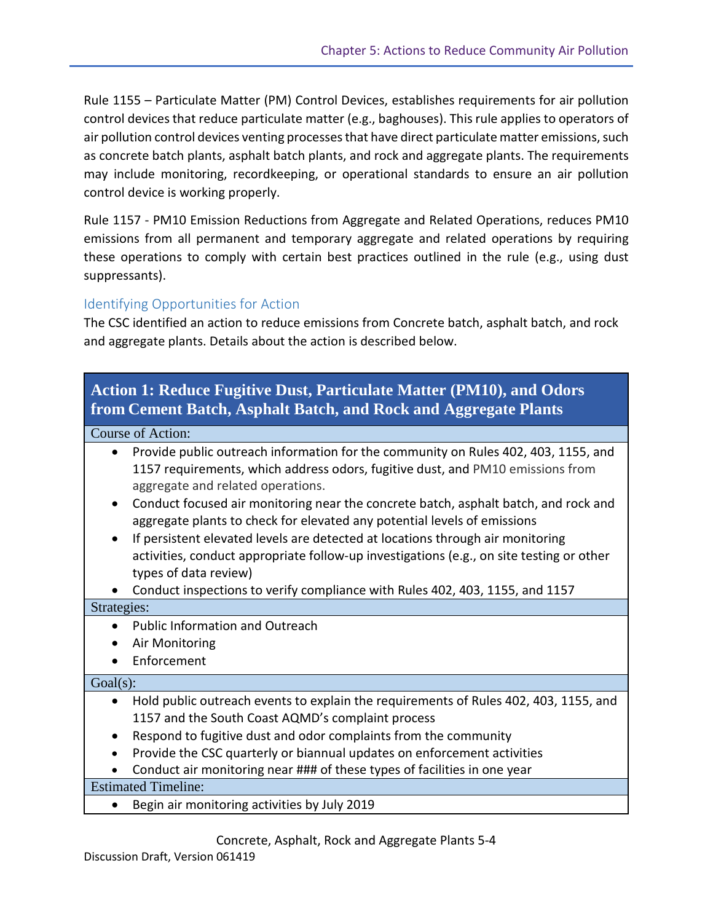Rule 1155 – Particulate Matter (PM) Control Devices, establishes requirements for air pollution control devices that reduce particulate matter (e.g., baghouses). This rule applies to operators of air pollution control devices venting processes that have direct particulate matter emissions, such as concrete batch plants, asphalt batch plants, and rock and aggregate plants. The requirements may include monitoring, recordkeeping, or operational standards to ensure an air pollution control device is working properly.

Rule 1157 - PM10 Emission Reductions from Aggregate and Related Operations, reduces PM10 emissions from all permanent and temporary aggregate and related operations by requiring these operations to comply with certain best practices outlined in the rule (e.g., using dust suppressants).

### Identifying Opportunities for Action

The CSC identified an action to reduce emissions from Concrete batch, asphalt batch, and rock and aggregate plants. Details about the action is described below.

### **Action 1: Reduce Fugitive Dust, Particulate Matter (PM10), and Odors from Cement Batch, Asphalt Batch, and Rock and Aggregate Plants**

### Course of Action:

| • Provide public outreach information for the community on Rules 402, 403, 1155, and   |
|----------------------------------------------------------------------------------------|
| 1157 requirements, which address odors, fugitive dust, and PM10 emissions from         |
| aggregate and related operations.                                                      |
| a Canduat focused air monitoring noor the concrete hetels occupalt hately and rook and |

- Conduct focused air monitoring near the concrete batch, asphalt batch, and rock and aggregate plants to check for elevated any potential levels of emissions
- If persistent elevated levels are detected at locations through air monitoring activities, conduct appropriate follow-up investigations (e.g., on site testing or other types of data review)

• Conduct inspections to verify compliance with Rules 402, 403, 1155, and 1157

### Strategies:

- Public Information and Outreach
- Air Monitoring
- Enforcement

### $Goal(s)$ :

- Hold public outreach events to explain the requirements of Rules 402, 403, 1155, and 1157 and the South Coast AQMD's complaint process
- Respond to fugitive dust and odor complaints from the community
- Provide the CSC quarterly or biannual updates on enforcement activities
- Conduct air monitoring near ### of these types of facilities in one year

### Estimated Timeline:

• Begin air monitoring activities by July 2019

Concrete, Asphalt, Rock and Aggregate Plants 5-4